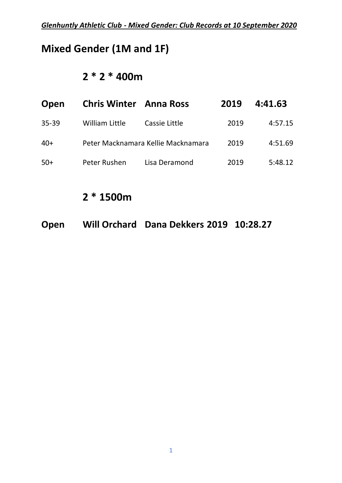### **Mixed Gender (1M and 1F)**

#### **2 \* 2 \* 400m**

| Open      | <b>Chris Winter</b> Anna Ross |                                    | 2019 | 4:41.63 |
|-----------|-------------------------------|------------------------------------|------|---------|
| $35 - 39$ | <b>William Little</b>         | Cassie Little                      | 2019 | 4:57.15 |
| $40+$     |                               | Peter Macknamara Kellie Macknamara | 2019 | 4:51.69 |
| $50+$     | Peter Rushen                  | Lisa Deramond                      | 2019 | 5:48.12 |

### **2 \* 1500m**

**Open Will Orchard Dana Dekkers 2019 10:28.27**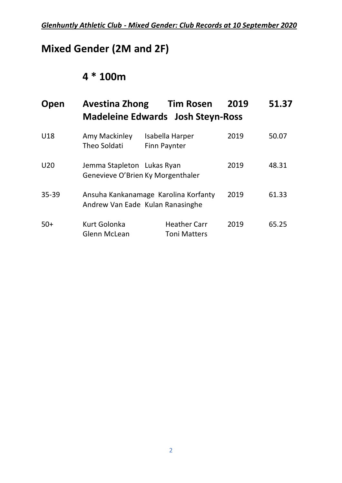# **Mixed Gender (2M and 2F)**

### **4 \* 100m**

| Open            | <b>Avestina Zhong</b>                                           | <b>Tim Rosen</b><br><b>Madeleine Edwards Josh Steyn-Ross</b>             | 2019 | 51.37 |
|-----------------|-----------------------------------------------------------------|--------------------------------------------------------------------------|------|-------|
| U18             | Amy Mackinley<br><b>Theo Soldati</b>                            | Isabella Harper<br>Finn Paynter                                          | 2019 | 50.07 |
| U <sub>20</sub> | Jemma Stapleton Lukas Ryan<br>Genevieve O'Brien Ky Morgenthaler |                                                                          | 2019 | 48.31 |
| $35 - 39$       |                                                                 | Ansuha Kankanamage Karolina Korfanty<br>Andrew Van Eade Kulan Ranasinghe | 2019 | 61.33 |
| $50+$           | <b>Kurt Golonka</b><br><b>Glenn McLean</b>                      | <b>Heather Carr</b><br><b>Toni Matters</b>                               | 2019 | 65.25 |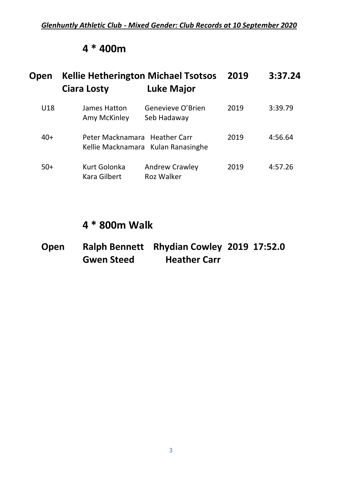#### **4 \* 400m**

| Open  | <b>Kellie Hetherington Michael Tsotsos</b><br><b>Ciara Losty</b> | <b>Luke Major</b>                          | 2019 | 3:37.24 |
|-------|------------------------------------------------------------------|--------------------------------------------|------|---------|
| U18   | James Hatton<br>Amy McKinley                                     | Genevieve O'Brien<br>Seb Hadaway           | 2019 | 3:39.79 |
| $40+$ | Peter Macknamara Heather Carr                                    | Kellie Macknamara Kulan Ranasinghe         | 2019 | 4:56.64 |
| $50+$ | Kurt Golonka<br>Kara Gilbert                                     | <b>Andrew Crawley</b><br><b>Roz Walker</b> | 2019 | 4:57.26 |

#### **4 \* 800m Walk**

| Open |                   | Ralph Bennett Rhydian Cowley 2019 17:52.0 |  |
|------|-------------------|-------------------------------------------|--|
|      | <b>Gwen Steed</b> | <b>Heather Carr</b>                       |  |